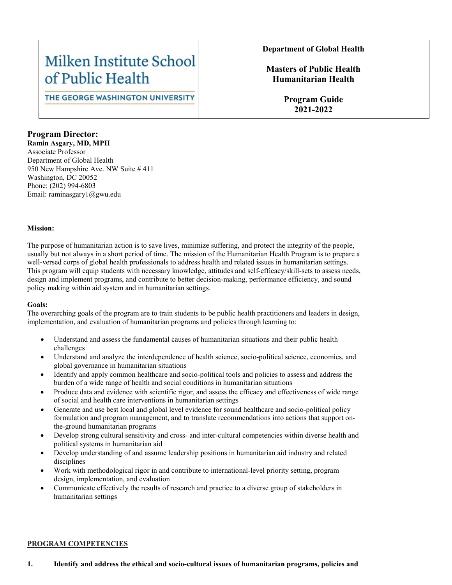## Milken Institute School of Public Health

THE GEORGE WASHINGTON UNIVERSITY

#### **Department of Global Health**

## **Masters of Public Health Humanitarian Health**

**Program Guide 2021-2022**

## **Program Director:**

**Ramin Asgary, MD, MPH** Associate Professor Department of Global Health 950 New Hampshire Ave. NW Suite # 411 Washington, DC 20052 Phone: (202) 994-6803 Email: raminasgary1@gwu.edu

#### **Mission:**

The purpose of humanitarian action is to save lives, minimize suffering, and protect the integrity of the people, usually but not always in a short period of time. The mission of the Humanitarian Health Program is to prepare a well-versed corps of global health professionals to address health and related issues in humanitarian settings. This program will equip students with necessary knowledge, attitudes and self-efficacy/skill-sets to assess needs, design and implement programs, and contribute to better decision-making, performance efficiency, and sound policy making within aid system and in humanitarian settings.

#### **Goals:**

The overarching goals of the program are to train students to be public health practitioners and leaders in design, implementation, and evaluation of humanitarian programs and policies through learning to:

- Understand and assess the fundamental causes of humanitarian situations and their public health challenges
- Understand and analyze the interdependence of health science, socio-political science, economics, and global governance in humanitarian situations
- Identify and apply common healthcare and socio-political tools and policies to assess and address the burden of a wide range of health and social conditions in humanitarian situations
- Produce data and evidence with scientific rigor, and assess the efficacy and effectiveness of wide range of social and health care interventions in humanitarian settings
- Generate and use best local and global level evidence for sound healthcare and socio-political policy formulation and program management, and to translate recommendations into actions that support onthe-ground humanitarian programs
- Develop strong cultural sensitivity and cross- and inter-cultural competencies within diverse health and political systems in humanitarian aid
- Develop understanding of and assume leadership positions in humanitarian aid industry and related disciplines
- Work with methodological rigor in and contribute to international-level priority setting, program design, implementation, and evaluation
- Communicate effectively the results of research and practice to a diverse group of stakeholders in humanitarian settings

#### **PROGRAM COMPETENCIES**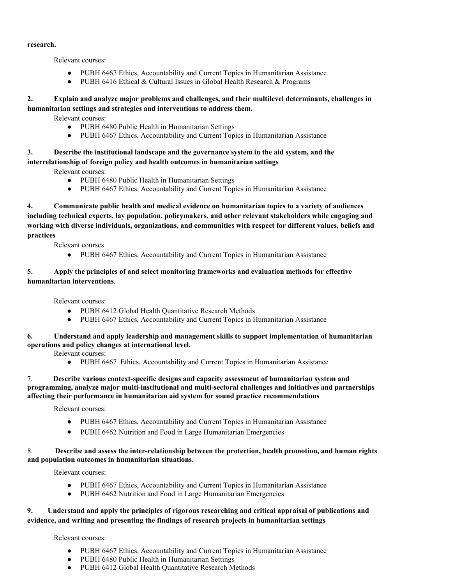#### **research.**

Relevant courses:

- PUBH 6467 Ethics, Accountability and Current Topics in Humanitarian Assistance
- PUBH 6416 Ethical & Cultural Issues in Global Health Research & Programs

#### **2. Explain and analyze major problems and challenges, and their multilevel determinants, challenges in humanitarian settings and strategies and interventions to address them.**

Relevant courses:

- PUBH 6480 Public Health in Humanitarian Settings
- PUBH 6467 Ethics, Accountability and Current Topics in Humanitarian Assistance

## **3. Describe the institutional landscape and the governance system in the aid system, and the interrelationship of foreign policy and health outcomes in humanitarian settings**

Relevant courses:

- PUBH 6480 Public Health in Humanitarian Settings
- PUBH 6467 Ethics, Accountability and Current Topics in Humanitarian Assistance

**4. Communicate public health and medical evidence on humanitarian topics to a variety of audiences including technical experts, lay population, policymakers, and other relevant stakeholders while engaging and working with diverse individuals, organizations, and communities with respect for different values, beliefs and practices** 

Relevant courses

● PUBH 6467 Ethics, Accountability and Current Topics in Humanitarian Assistance

#### **5. Apply the principles of and select monitoring frameworks and evaluation methods for effective humanitarian interventions**.

Relevant courses:

- PUBH 6412 Global Health Quantitative Research Methods
- PUBH 6467 Ethics, Accountability and Current Topics in Humanitarian Assistance

#### **6. Understand and apply leadership and management skills to support implementation of humanitarian operations and policy changes at international level.**

Relevant courses:

● PUBH 6467 Ethics, Accountability and Current Topics in Humanitarian Assistance

#### 7. **Describe various context-specific designs and capacity assessment of humanitarian system and programming, analyze major multi-institutional and multi-sectoral challenges and initiatives and partnerships affecting their performance in humanitarian aid system for sound practice recommendations**

Relevant courses:

- PUBH 6467 Ethics, Accountability and Current Topics in Humanitarian Assistance
- PUBH 6462 Nutrition and Food in Large Humanitarian Emergencies

#### 8. **Describe and assess the inter-relationship between the protection, health promotion, and human rights and population outcomes in humanitarian situations**.

Relevant courses:

- PUBH 6467 Ethics, Accountability and Current Topics in Humanitarian Assistance
- PUBH 6462 Nutrition and Food in Large Humanitarian Emergencies

## **9. Understand and apply the principles of rigorous researching and critical appraisal of publications and evidence, and writing and presenting the findings of research projects in humanitarian settings**

Relevant courses:

- PUBH 6467 Ethics, Accountability and Current Topics in Humanitarian Assistance
- PUBH 6480 Public Health in Humanitarian Settings
- PUBH 6412 Global Health Quantitative Research Methods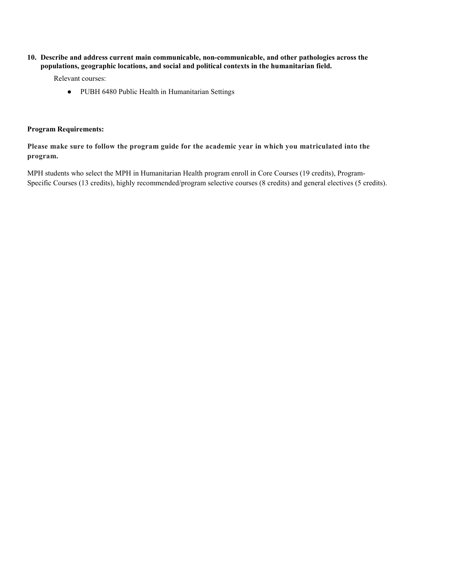**10. Describe and address current main communicable, non-communicable, and other pathologies across the populations, geographic locations, and social and political contexts in the humanitarian field.**

Relevant courses:

● PUBH 6480 Public Health in Humanitarian Settings

#### **Program Requirements:**

**Please make sure to follow the program guide for the academic year in which you matriculated into the program.**

MPH students who select the MPH in Humanitarian Health program enroll in Core Courses (19 credits), Program-Specific Courses (13 credits), highly recommended/program selective courses (8 credits) and general electives (5 credits).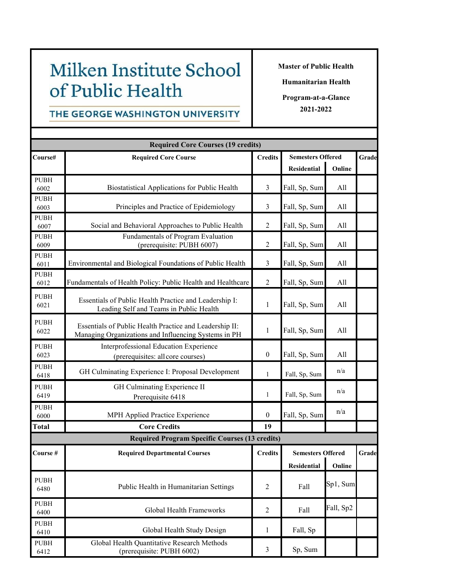# Milken Institute School of Public Health

**Master of Public Health**

**Humanitarian Health**

**Program-at-a-Glance 2021-2022**

## THE GEORGE WASHINGTON UNIVERSITY

| <b>Required Core Courses (19 credits)</b> |                                                                                                                 |                  |                                                |           |       |  |  |  |
|-------------------------------------------|-----------------------------------------------------------------------------------------------------------------|------------------|------------------------------------------------|-----------|-------|--|--|--|
| Course#                                   | <b>Required Core Course</b>                                                                                     | <b>Credits</b>   | <b>Semesters Offered</b>                       |           | Grade |  |  |  |
|                                           |                                                                                                                 |                  | Residential                                    | Online    |       |  |  |  |
| <b>PUBH</b><br>6002                       | Biostatistical Applications for Public Health                                                                   | $\overline{3}$   | Fall, Sp, Sum                                  | All       |       |  |  |  |
| <b>PUBH</b><br>6003                       | Principles and Practice of Epidemiology                                                                         | 3                | Fall, Sp, Sum                                  | All       |       |  |  |  |
| <b>PUBH</b><br>6007                       | Social and Behavioral Approaches to Public Health                                                               | $\overline{2}$   | Fall, Sp, Sum                                  | All       |       |  |  |  |
| <b>PUBH</b><br>6009                       | Fundamentals of Program Evaluation<br>(prerequisite: PUBH 6007)                                                 | $\overline{2}$   | Fall, Sp, Sum                                  | All       |       |  |  |  |
| <b>PUBH</b><br>6011                       | Environmental and Biological Foundations of Public Health                                                       | $\mathfrak{Z}$   | Fall, Sp, Sum                                  | All       |       |  |  |  |
| <b>PUBH</b><br>6012                       | Fundamentals of Health Policy: Public Health and Healthcare                                                     | $\overline{2}$   | Fall, Sp, Sum                                  | All       |       |  |  |  |
| <b>PUBH</b><br>6021                       | Essentials of Public Health Practice and Leadership I:<br>Leading Self and Teams in Public Health               | 1                | Fall, Sp, Sum                                  | All       |       |  |  |  |
| <b>PUBH</b><br>6022                       | Essentials of Public Health Practice and Leadership II:<br>Managing Organizations and Influencing Systems in PH | 1                | Fall, Sp, Sum                                  | All       |       |  |  |  |
| <b>PUBH</b><br>6023                       | Interprofessional Education Experience<br>(prerequisites: all core courses)                                     | $\boldsymbol{0}$ | Fall, Sp, Sum                                  | All       |       |  |  |  |
| <b>PUBH</b><br>6418                       | GH Culminating Experience I: Proposal Development                                                               | $\mathbf{1}$     | Fall, Sp, Sum                                  | n/a       |       |  |  |  |
| <b>PUBH</b><br>6419                       | GH Culminating Experience II<br>Prerequisite 6418                                                               | $\mathbf{1}$     | Fall, Sp, Sum                                  | n/a       |       |  |  |  |
| <b>PUBH</b><br>6000                       | MPH Applied Practice Experience                                                                                 | $\boldsymbol{0}$ | Fall, Sp, Sum                                  | n/a       |       |  |  |  |
| <b>Total</b>                              | <b>Core Credits</b>                                                                                             | 19               |                                                |           |       |  |  |  |
|                                           | <b>Required Program Specific Courses (13 credits)</b>                                                           |                  |                                                |           |       |  |  |  |
| Course#                                   | <b>Required Departmental Courses</b>                                                                            | <b>Credits</b>   | <b>Semesters Offered</b><br>Residential Online |           | Grade |  |  |  |
| <b>PUBH</b><br>6480                       | Public Health in Humanitarian Settings                                                                          | $\boldsymbol{2}$ | Fall                                           | Sp1, Sum  |       |  |  |  |
| <b>PUBH</b><br>6400                       | Global Health Frameworks                                                                                        | $\overline{2}$   | Fall                                           | Fall, Sp2 |       |  |  |  |
| <b>PUBH</b><br>6410                       | Global Health Study Design                                                                                      | 1                | Fall, Sp                                       |           |       |  |  |  |
| <b>PUBH</b><br>6412                       | Global Health Quantitative Research Methods<br>(prerequisite: PUBH 6002)                                        | $\mathfrak{Z}$   | Sp, Sum                                        |           |       |  |  |  |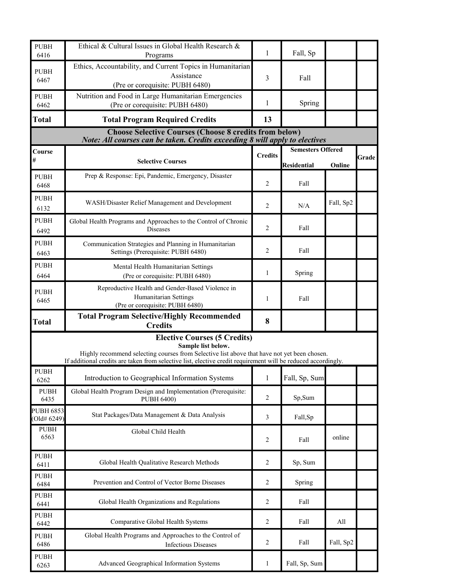| <b>PUBH</b><br>6416                                                                                                                                                                                                                                                       | Ethical & Cultural Issues in Global Health Research &<br>Programs                                            | 1                                    | Fall, Sp                 |           |  |  |  |  |  |
|---------------------------------------------------------------------------------------------------------------------------------------------------------------------------------------------------------------------------------------------------------------------------|--------------------------------------------------------------------------------------------------------------|--------------------------------------|--------------------------|-----------|--|--|--|--|--|
| <b>PUBH</b><br>6467                                                                                                                                                                                                                                                       | Ethics, Accountability, and Current Topics in Humanitarian<br>Assistance<br>(Pre or corequisite: PUBH 6480)  | 3                                    | Fall                     |           |  |  |  |  |  |
| <b>PUBH</b><br>6462                                                                                                                                                                                                                                                       | Nutrition and Food in Large Humanitarian Emergencies<br>(Pre or corequisite: PUBH 6480)                      | 1                                    | Spring                   |           |  |  |  |  |  |
| <b>Total</b>                                                                                                                                                                                                                                                              | <b>Total Program Required Credits</b>                                                                        | 13                                   |                          |           |  |  |  |  |  |
| <b>Choose Selective Courses (Choose 8 credits from below)</b><br>Note: All courses can be taken. Credits exceeding 8 will apply to electives                                                                                                                              |                                                                                                              |                                      |                          |           |  |  |  |  |  |
| Course                                                                                                                                                                                                                                                                    |                                                                                                              |                                      | <b>Semesters Offered</b> |           |  |  |  |  |  |
| #                                                                                                                                                                                                                                                                         | <b>Selective Courses</b>                                                                                     | <b>Credits</b><br><b>Residential</b> |                          |           |  |  |  |  |  |
| <b>PUBH</b><br>6468                                                                                                                                                                                                                                                       | Prep & Response: Epi, Pandemic, Emergency, Disaster                                                          | 2                                    | Fall                     | Online    |  |  |  |  |  |
| <b>PUBH</b><br>6132                                                                                                                                                                                                                                                       | WASH/Disaster Relief Management and Development                                                              | 2                                    | N/A                      | Fall, Sp2 |  |  |  |  |  |
| PUBH<br>6492                                                                                                                                                                                                                                                              | Global Health Programs and Approaches to the Control of Chronic<br><b>Diseases</b>                           | 2                                    | Fall                     |           |  |  |  |  |  |
| <b>PUBH</b><br>6463                                                                                                                                                                                                                                                       | Communication Strategies and Planning in Humanitarian<br>Settings (Prerequisite: PUBH 6480)                  | 2                                    | Fall                     |           |  |  |  |  |  |
| <b>PUBH</b><br>6464                                                                                                                                                                                                                                                       | Mental Health Humanitarian Settings<br>(Pre or corequisite: PUBH 6480)                                       | 1                                    | Spring                   |           |  |  |  |  |  |
| <b>PUBH</b><br>6465                                                                                                                                                                                                                                                       | Reproductive Health and Gender-Based Violence in<br>Humanitarian Settings<br>(Pre or corequisite: PUBH 6480) | 1                                    | Fall                     |           |  |  |  |  |  |
| <b>Total</b>                                                                                                                                                                                                                                                              | <b>Total Program Selective/Highly Recommended</b><br><b>Credits</b>                                          | 8                                    |                          |           |  |  |  |  |  |
| <b>Elective Courses (5 Credits)</b><br>Sample list below.<br>Highly recommend selecting courses from Selective list above that have not yet been chosen.<br>If additional credits are taken from selective list, elective credit requirement will be reduced accordingly. |                                                                                                              |                                      |                          |           |  |  |  |  |  |
| <b>PUBH</b><br>6262                                                                                                                                                                                                                                                       | Introduction to Geographical Information Systems                                                             | 1                                    | Fall, Sp, Sum            |           |  |  |  |  |  |
| <b>PUBH</b><br>6435                                                                                                                                                                                                                                                       | Global Health Program Design and Implementation (Prerequisite:<br>PUBH 6400)                                 | 2                                    | Sp,Sum                   |           |  |  |  |  |  |
| <b>PUBH 6853</b><br>(Old# 6249)                                                                                                                                                                                                                                           | Stat Packages/Data Management & Data Analysis                                                                | 3                                    | Fall,Sp                  |           |  |  |  |  |  |
| <b>PUBH</b><br>6563                                                                                                                                                                                                                                                       | Global Child Health                                                                                          | 2                                    | Fall                     | online    |  |  |  |  |  |
| PUBH<br>6411                                                                                                                                                                                                                                                              | Global Health Qualitative Research Methods                                                                   | 2                                    | Sp, Sum                  |           |  |  |  |  |  |
| <b>PUBH</b><br>6484                                                                                                                                                                                                                                                       | Prevention and Control of Vector Borne Diseases                                                              | 2                                    | Spring                   |           |  |  |  |  |  |
| <b>PUBH</b><br>6441                                                                                                                                                                                                                                                       | Global Health Organizations and Regulations                                                                  | 2                                    | Fall                     |           |  |  |  |  |  |
| <b>PUBH</b><br>6442                                                                                                                                                                                                                                                       | Comparative Global Health Systems                                                                            | 2                                    | Fall                     | All       |  |  |  |  |  |
| <b>PUBH</b><br>6486                                                                                                                                                                                                                                                       | Global Health Programs and Approaches to the Control of<br><b>Infectious Diseases</b>                        | 2                                    | Fall                     | Fall, Sp2 |  |  |  |  |  |
| <b>PUBH</b><br>6263                                                                                                                                                                                                                                                       | Advanced Geographical Information Systems                                                                    | 1                                    | Fall, Sp, Sum            |           |  |  |  |  |  |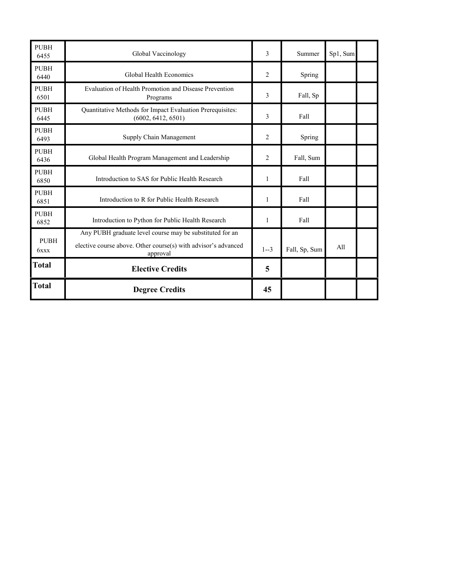| <b>PUBH</b><br>6455 | Global Vaccinology                                                                                                                     | 3              | Summer        | Sp1, Sum |  |
|---------------------|----------------------------------------------------------------------------------------------------------------------------------------|----------------|---------------|----------|--|
| <b>PUBH</b><br>6440 | Global Health Economics                                                                                                                | 2              | Spring        |          |  |
| <b>PUBH</b><br>6501 | Evaluation of Health Promotion and Disease Prevention<br>Programs                                                                      | 3              | Fall, Sp      |          |  |
| <b>PUBH</b><br>6445 | Quantitative Methods for Impact Evaluation Prerequisites:<br>(6002, 6412, 6501)                                                        | 3              | Fall          |          |  |
| <b>PUBH</b><br>6493 | Supply Chain Management                                                                                                                | 2              | Spring        |          |  |
| <b>PUBH</b><br>6436 | Global Health Program Management and Leadership                                                                                        | $\overline{2}$ | Fall, Sum     |          |  |
| <b>PUBH</b><br>6850 | Introduction to SAS for Public Health Research                                                                                         | 1              | Fall          |          |  |
| <b>PUBH</b><br>6851 | Introduction to R for Public Health Research                                                                                           | 1              | Fall          |          |  |
| <b>PUBH</b><br>6852 | Introduction to Python for Public Health Research                                                                                      | $\mathbf{1}$   | Fall          |          |  |
| <b>PUBH</b><br>6xxx | Any PUBH graduate level course may be substituted for an<br>elective course above. Other course(s) with advisor's advanced<br>approval | $1 - 3$        | Fall, Sp, Sum | A11      |  |
| <b>Total</b>        | <b>Elective Credits</b>                                                                                                                | 5              |               |          |  |
| <b>Total</b>        | <b>Degree Credits</b>                                                                                                                  | 45             |               |          |  |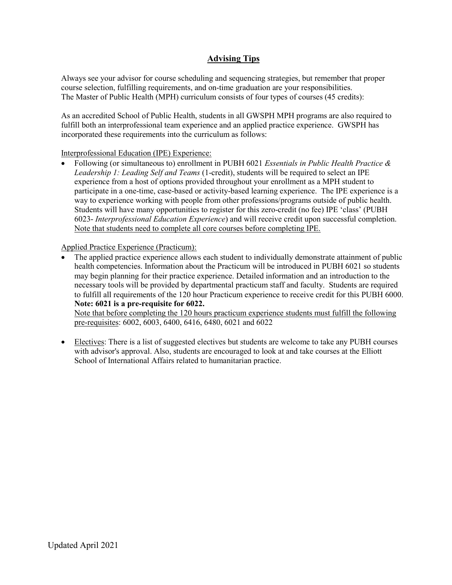## **Advising Tips**

Always see your advisor for course scheduling and sequencing strategies, but remember that proper course selection, fulfilling requirements, and on-time graduation are your responsibilities. The Master of Public Health (MPH) curriculum consists of four types of courses (45 credits):

As an accredited School of Public Health, students in all GWSPH MPH programs are also required to fulfill both an interprofessional team experience and an applied practice experience. GWSPH has incorporated these requirements into the curriculum as follows:

## Interprofessional Education (IPE) Experience:

• Following (or simultaneous to) enrollment in PUBH 6021 *Essentials in Public Health Practice & Leadership 1: Leading Self and Teams* (1-credit), students will be required to select an IPE experience from a host of options provided throughout your enrollment as a MPH student to participate in a one-time, case-based or activity-based learning experience. The IPE experience is a way to experience working with people from other professions/programs outside of public health. Students will have many opportunities to register for this zero-credit (no fee) IPE 'class' (PUBH 6023- *Interprofessional Education Experience*) and will receive credit upon successful completion. Note that students need to complete all core courses before completing IPE.

Applied Practice Experience (Practicum):

• The applied practice experience allows each student to individually demonstrate attainment of public health competencies. Information about the Practicum will be introduced in PUBH 6021 so students may begin planning for their practice experience. Detailed information and an introduction to the necessary tools will be provided by departmental practicum staff and faculty. Students are required to fulfill all requirements of the 120 hour Practicum experience to receive credit for this PUBH 6000. **Note: 6021 is a pre-requisite for 6022.**

Note that before completing the 120 hours practicum experience students must fulfill the following pre-requisites: 6002, 6003, 6400, 6416, 6480, 6021 and 6022

• Electives: There is a list of suggested electives but students are welcome to take any PUBH courses with advisor's approval. Also, students are encouraged to look at and take courses at the Elliott School of International Affairs related to humanitarian practice.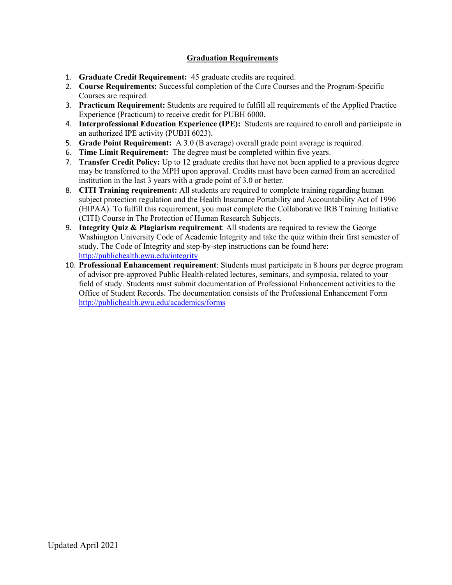## **Graduation Requirements**

- 1. **Graduate Credit Requirement:** 45 graduate credits are required.
- 2. **Course Requirements:** Successful completion of the Core Courses and the Program-Specific Courses are required.
- 3. **Practicum Requirement:** Students are required to fulfill all requirements of the Applied Practice Experience (Practicum) to receive credit for PUBH 6000.
- 4. **Interprofessional Education Experience (IPE):** Students are required to enroll and participate in an authorized IPE activity (PUBH 6023).
- 5. **Grade Point Requirement:** A 3.0 (B average) overall grade point average is required.
- 6. **Time Limit Requirement:** The degree must be completed within five years.
- 7. **Transfer Credit Policy:** Up to 12 graduate credits that have not been applied to a previous degree may be transferred to the MPH upon approval. Credits must have been earned from an accredited institution in the last 3 years with a grade point of 3.0 or better.
- 8. **CITI Training requirement:** All students are required to complete training regarding human subject protection regulation and the Health Insurance Portability and Accountability Act of 1996 (HIPAA). To fulfill this requirement, you must complete the Collaborative IRB Training Initiative (CITI) Course in The Protection of Human Research Subjects.
- 9. **Integrity Quiz & Plagiarism requirement**: All students are required to review the George Washington University Code of Academic Integrity and take the quiz within their first semester of study. The Code of Integrity and step-by-step instructions can be found here: <http://publichealth.gwu.edu/integrity>
- 10. **Professional Enhancement requirement**: Students must participate in 8 hours per degree program of advisor pre-approved Public Health-related lectures, seminars, and symposia, related to your field of study. Students must submit documentation of Professional Enhancement activities to the Office of Student Records. The documentation consists of the Professional Enhancement Form <http://publichealth.gwu.edu/academics/forms>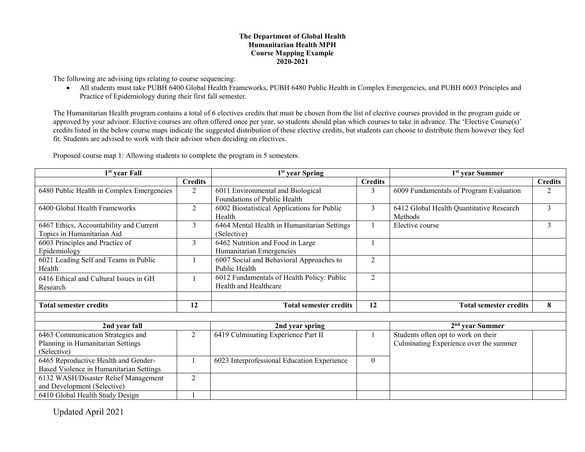#### **The Department of Global Health Humanitarian Health MPH Course Mapping Example 2020-2021**

The following are advising tips relating to course sequencing:

• All students must take PUBH 6400 Global Health Frameworks, PUBH 6480 Public Health in Complex Emergencies, and PUBH 6003 Principles and Practice of Epidemiology during their first fall semester.

The Humanitarian Health program contains a total of 6 electives credits that must be chosen from the list of elective courses provided in the program guide or approved by your advisor. Elective courses are often offered once per year, so students should plan which courses to take in advance. The 'Elective Course(s)' credits listed in the below course maps indicate the suggested distribution of these elective credits, but students can choose to distribute them however they feel fit. Students are advised to work with their advisor when deciding on electives.

| 1 <sup>st</sup> year Fall                                             |                | 1 <sup>st</sup> year Spring                                         |                | 1 <sup>st</sup> year Summer                         |                |  |
|-----------------------------------------------------------------------|----------------|---------------------------------------------------------------------|----------------|-----------------------------------------------------|----------------|--|
|                                                                       | <b>Credits</b> |                                                                     | <b>Credits</b> |                                                     | <b>Credits</b> |  |
| 6480 Public Health in Complex Emergencies                             | $\overline{2}$ | 6011 Environmental and Biological                                   | 3              | 6009 Fundamentals of Program Evaluation             | $\overline{2}$ |  |
|                                                                       |                | Foundations of Public Health                                        |                |                                                     |                |  |
| 6400 Global Health Frameworks                                         | 2              | 6002 Biostatistical Applications for Public<br>Health               | 3              | 6412 Global Health Quantitative Research<br>Methods | 3              |  |
| 6467 Ethics, Accountability and Current<br>Topics in Humanitarian Aid | $\mathfrak{Z}$ | 6464 Mental Health in Humanitarian Settings<br>(Selective)          |                | Elective course                                     | 3              |  |
| 6003 Principles and Practice of                                       | 3              | 6462 Nutrition and Food in Large                                    |                |                                                     |                |  |
| Epidemiology                                                          |                | Humanitarian Emergencies                                            |                |                                                     |                |  |
| 6021 Leading Self and Teams in Public<br>Health                       |                | 6007 Social and Behavioral Approaches to<br>Public Health           | $\overline{2}$ |                                                     |                |  |
| 6416 Ethical and Cultural Issues in GH<br>Research                    |                | 6012 Fundamentals of Health Policy: Public<br>Health and Healthcare | $\overline{2}$ |                                                     |                |  |
|                                                                       |                |                                                                     |                |                                                     |                |  |
| <b>Total semester credits</b>                                         | 12             | <b>Total semester credits</b>                                       | 12             | <b>Total semester credits</b>                       | 8              |  |
|                                                                       |                |                                                                     |                |                                                     |                |  |
| 2nd year fall                                                         |                | 2nd year spring                                                     |                | $2nd$ vear Summer                                   |                |  |
| 6463 Communication Strategies and                                     | $\overline{2}$ | 6419 Culminating Experience Part II                                 |                | Students often opt to work on their                 |                |  |
| Planning in Humanitarian Settings                                     |                |                                                                     |                | Culminating Experience over the summer              |                |  |
| (Selective)                                                           |                |                                                                     |                |                                                     |                |  |
| 6465 Reproductive Health and Gender-                                  |                | 6023 Interprofessional Education Experience                         | $\theta$       |                                                     |                |  |
| Based Violence in Humanitarian Settings                               |                |                                                                     |                |                                                     |                |  |
| 6132 WASH/Disaster Relief Management<br>$\overline{2}$                |                |                                                                     |                |                                                     |                |  |
| and Development (Selective)                                           |                |                                                                     |                |                                                     |                |  |
| 6410 Global Health Study Design                                       |                |                                                                     |                |                                                     |                |  |

Proposed course map 1: Allowing students to complete the program in 5 semesters.

Updated April 2021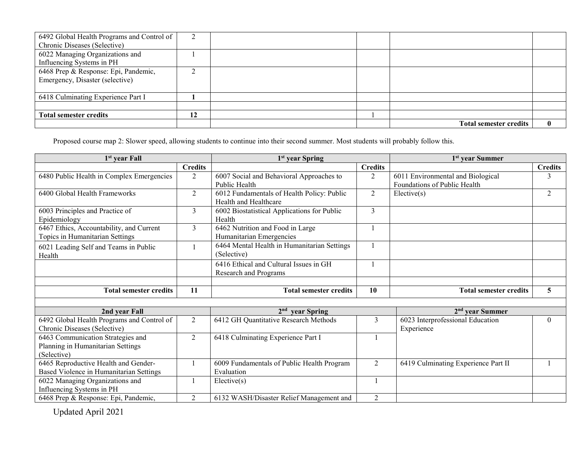| 6492 Global Health Programs and Control of |        |  |                               |              |
|--------------------------------------------|--------|--|-------------------------------|--------------|
| Chronic Diseases (Selective)               |        |  |                               |              |
| 6022 Managing Organizations and            |        |  |                               |              |
| Influencing Systems in PH                  |        |  |                               |              |
| 6468 Prep & Response: Epi, Pandemic,       | $\sim$ |  |                               |              |
| Emergency, Disaster (selective)            |        |  |                               |              |
|                                            |        |  |                               |              |
| 6418 Culminating Experience Part I         |        |  |                               |              |
|                                            |        |  |                               |              |
| <b>Total semester credits</b>              | 12     |  |                               |              |
|                                            |        |  | <b>Total semester credits</b> | $\mathbf{0}$ |

Proposed course map 2: Slower speed, allowing students to continue into their second summer. Most students will probably follow this.

| 1 <sup>st</sup> year Fall                  |                | 1 <sup>st</sup> year Spring                 |                | 1 <sup>st</sup> year Summer         |                |  |
|--------------------------------------------|----------------|---------------------------------------------|----------------|-------------------------------------|----------------|--|
|                                            | <b>Credits</b> |                                             | <b>Credits</b> |                                     | <b>Credits</b> |  |
| 6480 Public Health in Complex Emergencies  | $\overline{2}$ | 6007 Social and Behavioral Approaches to    | 2              | 6011 Environmental and Biological   | 3              |  |
|                                            |                | Public Health                               |                | Foundations of Public Health        |                |  |
| 6400 Global Health Frameworks              | $\overline{2}$ | 6012 Fundamentals of Health Policy: Public  | $\overline{2}$ | Elective(s)                         | $\overline{2}$ |  |
|                                            |                | Health and Healthcare                       |                |                                     |                |  |
| 6003 Principles and Practice of            | 3              | 6002 Biostatistical Applications for Public | $\overline{3}$ |                                     |                |  |
| Epidemiology                               |                | Health                                      |                |                                     |                |  |
| 6467 Ethics, Accountability, and Current   | 3              | 6462 Nutrition and Food in Large            |                |                                     |                |  |
| Topics in Humanitarian Settings            |                | Humanitarian Emergencies                    |                |                                     |                |  |
| 6021 Leading Self and Teams in Public      |                | 6464 Mental Health in Humanitarian Settings |                |                                     |                |  |
| Health                                     |                | (Selective)                                 |                |                                     |                |  |
|                                            |                | 6416 Ethical and Cultural Issues in GH      |                |                                     |                |  |
|                                            |                | Research and Programs                       |                |                                     |                |  |
|                                            |                |                                             |                |                                     |                |  |
| <b>Total semester credits</b>              | 11             | <b>Total semester credits</b>               | 10             | <b>Total semester credits</b>       | 5              |  |
|                                            |                |                                             |                |                                     |                |  |
| 2nd year Fall                              |                | $2nd$ year Spring                           |                | $2nd$ year Summer                   |                |  |
| 6492 Global Health Programs and Control of | $\overline{2}$ | 6412 GH Quantitative Research Methods       | 3              | 6023 Interprofessional Education    | $\theta$       |  |
| Chronic Diseases (Selective)               |                |                                             |                | Experience                          |                |  |
| 6463 Communication Strategies and          | $\overline{2}$ | 6418 Culminating Experience Part I          |                |                                     |                |  |
| Planning in Humanitarian Settings          |                |                                             |                |                                     |                |  |
| (Selective)                                |                |                                             |                |                                     |                |  |
| 6465 Reproductive Health and Gender-       |                | 6009 Fundamentals of Public Health Program  | $\overline{2}$ | 6419 Culminating Experience Part II |                |  |
| Based Violence in Humanitarian Settings    |                | Evaluation                                  |                |                                     |                |  |
| 6022 Managing Organizations and            |                | Electric(s)                                 |                |                                     |                |  |
| Influencing Systems in PH                  |                |                                             |                |                                     |                |  |
| 6468 Prep & Response: Epi, Pandemic,       | $\overline{2}$ | 6132 WASH/Disaster Relief Management and    | 2              |                                     |                |  |

Updated April 2021